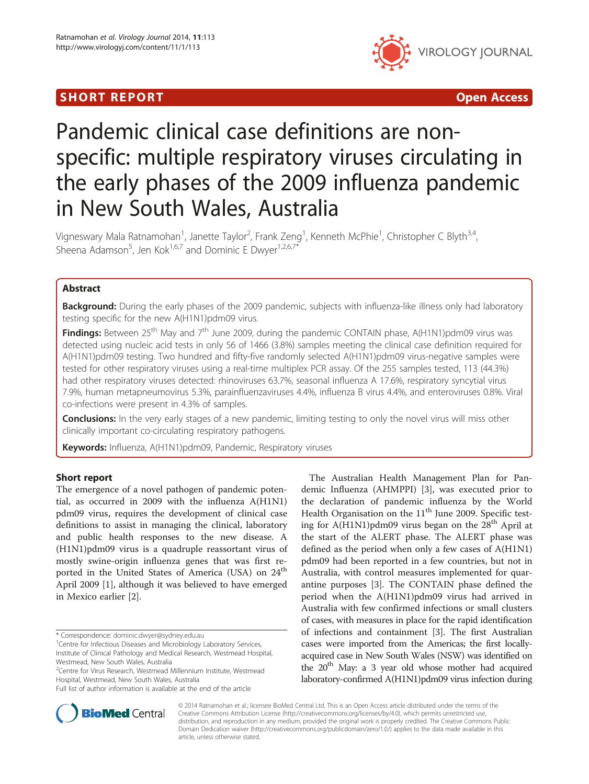## SHORT REPORT **The Contract of the Contract Open Access** (SHORT **Contract of the Contract Open Access**



# Pandemic clinical case definitions are nonspecific: multiple respiratory viruses circulating in the early phases of the 2009 influenza pandemic in New South Wales, Australia

Vigneswary Mala Ratnamohan<sup>1</sup>, Janette Taylor<sup>2</sup>, Frank Zeng<sup>1</sup>, Kenneth McPhie<sup>1</sup>, Christopher C Blyth<sup>3,4</sup>, Sheena Adamson<sup>5</sup>, Jen Kok<sup>1,6,7</sup> and Dominic E Dwyer<sup>1,2,6,7\*</sup>

## Abstract

Background: During the early phases of the 2009 pandemic, subjects with influenza-like illness only had laboratory testing specific for the new A(H1N1)pdm09 virus.

Findings: Between 25<sup>th</sup> May and 7<sup>th</sup> June 2009, during the pandemic CONTAIN phase, A(H1N1)pdm09 virus was detected using nucleic acid tests in only 56 of 1466 (3.8%) samples meeting the clinical case definition required for A(H1N1)pdm09 testing. Two hundred and fifty-five randomly selected A(H1N1)pdm09 virus-negative samples were tested for other respiratory viruses using a real-time multiplex PCR assay. Of the 255 samples tested, 113 (44.3%) had other respiratory viruses detected: rhinoviruses 63.7%, seasonal influenza A 17.6%, respiratory syncytial virus 7.9%, human metapneumovirus 5.3%, parainfluenzaviruses 4.4%, influenza B virus 4.4%, and enteroviruses 0.8%. Viral co-infections were present in 4.3% of samples.

**Conclusions:** In the very early stages of a new pandemic, limiting testing to only the novel virus will miss other clinically important co-circulating respiratory pathogens.

Keywords: Influenza, A(H1N1)pdm09, Pandemic, Respiratory viruses

### Short report

The emergence of a novel pathogen of pandemic potential, as occurred in 2009 with the influenza A(H1N1) pdm09 virus, requires the development of clinical case definitions to assist in managing the clinical, laboratory and public health responses to the new disease. A (H1N1)pdm09 virus is a quadruple reassortant virus of mostly swine-origin influenza genes that was first reported in the United States of America (USA) on 24<sup>th</sup> April 2009 [[1\]](#page-4-0), although it was believed to have emerged in Mexico earlier [[2\]](#page-4-0).

\* Correspondence: [dominic.dwyer@sydney.edu.au](mailto:dominic.dwyer@sydney.edu.au) <sup>1</sup>

Full list of author information is available at the end of the article

The Australian Health Management Plan for Pandemic Influenza (AHMPPI) [\[3](#page-4-0)], was executed prior to the declaration of pandemic influenza by the World Health Organisation on the  $11<sup>th</sup>$  June 2009. Specific testing for  $A(H1N1)$ pdm09 virus began on the 28<sup>th</sup> April at the start of the ALERT phase. The ALERT phase was defined as the period when only a few cases of A(H1N1) pdm09 had been reported in a few countries, but not in Australia, with control measures implemented for quarantine purposes [\[3](#page-4-0)]. The CONTAIN phase defined the period when the A(H1N1)pdm09 virus had arrived in Australia with few confirmed infections or small clusters of cases, with measures in place for the rapid identification of infections and containment [\[3](#page-4-0)]. The first Australian cases were imported from the Americas; the first locallyacquired case in New South Wales (NSW) was identified on the  $20<sup>th</sup>$  May: a 3 year old whose mother had acquired laboratory-confirmed A(H1N1)pdm09 virus infection during



© 2014 Ratnamohan et al.; licensee BioMed Central Ltd. This is an Open Access article distributed under the terms of the Creative Commons Attribution License (<http://creativecommons.org/licenses/by/4.0>), which permits unrestricted use, distribution, and reproduction in any medium, provided the original work is properly credited. The Creative Commons Public Domain Dedication waiver [\(http://creativecommons.org/publicdomain/zero/1.0/\)](http://creativecommons.org/publicdomain/zero/1.0/) applies to the data made available in this article, unless otherwise stated.

<sup>&</sup>lt;sup>1</sup> Centre for Infectious Diseases and Microbiology Laboratory Services, Institute of Clinical Pathology and Medical Research, Westmead Hospital, Westmead, New South Wales, Australia

<sup>&</sup>lt;sup>2</sup>Centre for Virus Research, Westmead Millennium Institute, Westmead Hospital, Westmead, New South Wales, Australia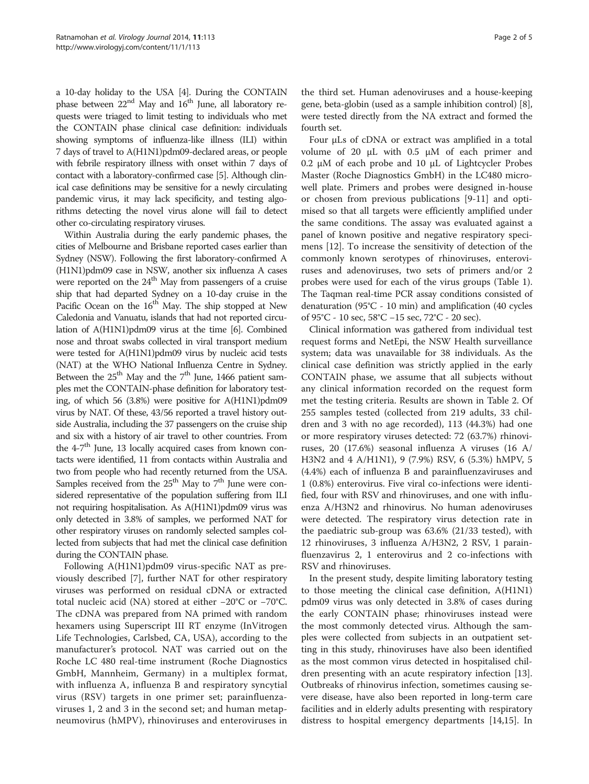a 10-day holiday to the USA [[4](#page-4-0)]. During the CONTAIN phase between 22<sup>nd</sup> May and 16<sup>th</sup> June, all laboratory requests were triaged to limit testing to individuals who met the CONTAIN phase clinical case definition: individuals showing symptoms of influenza-like illness (ILI) within 7 days of travel to A(H1N1)pdm09-declared areas, or people with febrile respiratory illness with onset within 7 days of contact with a laboratory-confirmed case [\[5](#page-4-0)]. Although clinical case definitions may be sensitive for a newly circulating pandemic virus, it may lack specificity, and testing algorithms detecting the novel virus alone will fail to detect other co-circulating respiratory viruses.

Within Australia during the early pandemic phases, the cities of Melbourne and Brisbane reported cases earlier than Sydney (NSW). Following the first laboratory-confirmed A (H1N1)pdm09 case in NSW, another six influenza A cases were reported on the  $24<sup>th</sup>$  May from passengers of a cruise ship that had departed Sydney on a 10-day cruise in the Pacific Ocean on the 16<sup>th</sup> May. The ship stopped at New Caledonia and Vanuatu, islands that had not reported circulation of A(H1N1)pdm09 virus at the time [\[6\]](#page-4-0). Combined nose and throat swabs collected in viral transport medium were tested for A(H1N1)pdm09 virus by nucleic acid tests (NAT) at the WHO National Influenza Centre in Sydney. Between the  $25<sup>th</sup>$  May and the  $7<sup>th</sup>$  June, 1466 patient samples met the CONTAIN-phase definition for laboratory testing, of which 56 (3.8%) were positive for A(H1N1)pdm09 virus by NAT. Of these, 43/56 reported a travel history outside Australia, including the 37 passengers on the cruise ship and six with a history of air travel to other countries. From the  $4-7<sup>th</sup>$  June, 13 locally acquired cases from known contacts were identified, 11 from contacts within Australia and two from people who had recently returned from the USA. Samples received from the  $25<sup>th</sup>$  May to  $7<sup>th</sup>$  June were considered representative of the population suffering from ILI not requiring hospitalisation. As A(H1N1)pdm09 virus was only detected in 3.8% of samples, we performed NAT for other respiratory viruses on randomly selected samples collected from subjects that had met the clinical case definition during the CONTAIN phase.

Following A(H1N1)pdm09 virus-specific NAT as previously described [[7\]](#page-4-0), further NAT for other respiratory viruses was performed on residual cDNA or extracted total nucleic acid (NA) stored at either −20°C or −70°C. The cDNA was prepared from NA primed with random hexamers using Superscript III RT enzyme (InVitrogen Life Technologies, Carlsbed, CA, USA), according to the manufacturer's protocol. NAT was carried out on the Roche LC 480 real-time instrument (Roche Diagnostics GmbH, Mannheim, Germany) in a multiplex format, with influenza A, influenza B and respiratory syncytial virus (RSV) targets in one primer set; parainfluenzaviruses 1, 2 and 3 in the second set; and human metapneumovirus (hMPV), rhinoviruses and enteroviruses in

the third set. Human adenoviruses and a house-keeping gene, beta-globin (used as a sample inhibition control) [[8](#page-4-0)], were tested directly from the NA extract and formed the fourth set.

Four μLs of cDNA or extract was amplified in a total volume of 20 μL with 0.5 μM of each primer and 0.2 μM of each probe and 10 μL of Lightcycler Probes Master (Roche Diagnostics GmbH) in the LC480 microwell plate. Primers and probes were designed in-house or chosen from previous publications [[9-11](#page-4-0)] and optimised so that all targets were efficiently amplified under the same conditions. The assay was evaluated against a panel of known positive and negative respiratory specimens [[12\]](#page-4-0). To increase the sensitivity of detection of the commonly known serotypes of rhinoviruses, enteroviruses and adenoviruses, two sets of primers and/or 2 probes were used for each of the virus groups (Table [1](#page-2-0)). The Taqman real-time PCR assay conditions consisted of denaturation (95°C - 10 min) and amplification (40 cycles of 95°C - 10 sec, 58°C −15 sec, 72°C - 20 sec).

Clinical information was gathered from individual test request forms and NetEpi, the NSW Health surveillance system; data was unavailable for 38 individuals. As the clinical case definition was strictly applied in the early CONTAIN phase, we assume that all subjects without any clinical information recorded on the request form met the testing criteria. Results are shown in Table [2.](#page-3-0) Of 255 samples tested (collected from 219 adults, 33 children and 3 with no age recorded), 113 (44.3%) had one or more respiratory viruses detected: 72 (63.7%) rhinoviruses, 20 (17.6%) seasonal influenza A viruses (16 A/ H3N2 and 4 A/H1N1), 9 (7.9%) RSV, 6 (5.3%) hMPV, 5 (4.4%) each of influenza B and parainfluenzaviruses and 1 (0.8%) enterovirus. Five viral co-infections were identified, four with RSV and rhinoviruses, and one with influenza A/H3N2 and rhinovirus. No human adenoviruses were detected. The respiratory virus detection rate in the paediatric sub-group was 63.6% (21/33 tested), with 12 rhinoviruses, 3 influenza A/H3N2, 2 RSV, 1 parainfluenzavirus 2, 1 enterovirus and 2 co-infections with RSV and rhinoviruses.

In the present study, despite limiting laboratory testing to those meeting the clinical case definition, A(H1N1) pdm09 virus was only detected in 3.8% of cases during the early CONTAIN phase; rhinoviruses instead were the most commonly detected virus. Although the samples were collected from subjects in an outpatient setting in this study, rhinoviruses have also been identified as the most common virus detected in hospitalised children presenting with an acute respiratory infection [\[13](#page-4-0)]. Outbreaks of rhinovirus infection, sometimes causing severe disease, have also been reported in long-term care facilities and in elderly adults presenting with respiratory distress to hospital emergency departments [[14,15\]](#page-4-0). In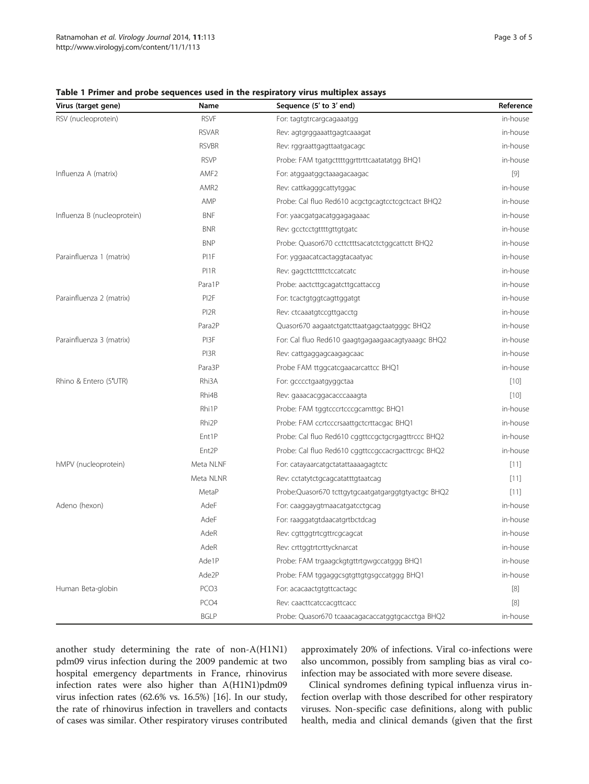Virus (target gene) Sequence (5° end) Rame RSV (nucleoprotein) RSVF

| espiratory virus multiplex assays                 |           |
|---------------------------------------------------|-----------|
| Sequence (5' to 3' end)                           | Reference |
| For: tagtgtrcargcagaaatgg                         | in-house  |
| Rev: agtgrggaaattgagtcaaagat                      | in-house  |
| Rev: rggraattgagttaatgacagc                       | in-house  |
| Probe: FAM tgatgcttttggrttrttcaatatatgg BHQ1      | in-house  |
| For: atggaatggctaaagacaagac                       | [9]       |
| Rev: cattkagggcattytggac                          | in-house  |
| Probe: Cal fluo Red610 acgctgcagtcctcgctcact BHQ2 | in-house  |
| For: yaacgatgacatggagagaaac                       | in-house  |
| Rev: acctcctattttattataatc                        | in-house  |

<span id="page-2-0"></span>Table 1 Primer and probe sequences used in the re

|                             | <b>RSVAR</b>        | Rev: agtgrggaaattgagtcaaagat                       | in-house |
|-----------------------------|---------------------|----------------------------------------------------|----------|
|                             | <b>RSVBR</b>        | Rev: rggraattgagttaatgacagc                        | in-house |
|                             | <b>RSVP</b>         | Probe: FAM tgatgcttttggrttrttcaatatatgg BHQ1       | in-house |
| Influenza A (matrix)        | AMF <sub>2</sub>    | For: atggaatggctaaagacaagac                        | $[9]$    |
|                             | AMR <sub>2</sub>    | Rev: cattkagggcattytggac                           | in-house |
|                             | AMP                 | Probe: Cal fluo Red610 acgctgcagtcctcgctcact BHQ2  | in-house |
| Influenza B (nucleoprotein) | <b>BNF</b>          | For: yaacgatgacatggagagaaac                        | in-house |
|                             | <b>BNR</b>          | Rev: gcctcctgttttgttgtgatc                         | in-house |
|                             | <b>BNP</b>          | Probe: Quasor670 ccttctttsacatctctggcattctt BHQ2   | in-house |
| Parainfluenza 1 (matrix)    | PI1F                | For: yggaacatcactaggtacaatyac                      | in-house |
|                             | PI1R                | Rev: gagcttcttttctccatcatc                         | in-house |
|                             | Para1P              | Probe: aactcttgcagatcttgcattaccg                   | in-house |
| Parainfluenza 2 (matrix)    | PI <sub>2</sub> F   | For: tcactgtggtcagttggatgt                         | in-house |
|                             | PI <sub>2</sub> R   | Rev: ctcaaatgtccgttgacctg                          | in-house |
|                             | Para <sub>2</sub> P | Quasor670 aagaatctgatcttaatgagctaatgggc BHQ2       | in-house |
| Parainfluenza 3 (matrix)    | PI3F                | For: Cal fluo Red610 gaagtgagaagaacagtyaaagc BHQ2  | in-house |
|                             | PI3R                | Rev: cattgaggagcaagagcaac                          | in-house |
|                             | Para3P              | Probe FAM ttggcatcgaacarcattcc BHQ1                | in-house |
| Rhino & Entero (5'UTR)      | Rhi3A               | For: gcccctgaatgyggctaa                            | $[10]$   |
|                             | Rhi4B               | Rev: gaaacacggacacccaaagta                         | $[10]$   |
|                             | Rhi1P               | Probe: FAM tggtcccrtcccgcamttgc BHQ1               | in-house |
|                             | Rhi <sub>2</sub> P  | Probe: FAM ccrtcccrsaattgctcrttacgac BHQ1          | in-house |
|                             | Ent1P               | Probe: Cal fluo Red610 cggttccgctgcrgagttrccc BHQ2 | in-house |
|                             | Ent <sub>2P</sub>   | Probe: Cal fluo Red610 cggttccgccacrgacttrcgc BHQ2 | in-house |
| hMPV (nucleoprotein)        | Meta NLNF           | For: catayaarcatgctatattaaaagagtctc                | [11]     |
|                             | Meta NLNR           | Rev: cctatytctgcagcatatttgtaatcag                  | [11]     |
|                             | MetaP               | Probe:Quasor670 tcttgytgcaatgatgarggtgtyactgc BHQ2 | [11]     |
| Adeno (hexon)               | AdeF                | For: caaggaygtmaacatgatcctgcag                     | in-house |
|                             | AdeF                | For: raaggatgtdaacatgrtbctdcag                     | in-house |
|                             | AdeR                | Rev: cgttggtrtcgttrcgcagcat                        | in-house |
|                             | AdeR                | Rev: crttggtrtcrttycknarcat                        | in-house |
|                             | Ade1P               | Probe: FAM trgaagckgtgttrtgwgccatggg BHQ1          | in-house |
|                             | Ade2P               | Probe: FAM tggaggcsgtgttgtgsgccatggg BHQ1          | in-house |
| Human Beta-globin           | PCO <sub>3</sub>    | For: acacaactgtgttcactagc                          | $[8]$    |
|                             | PCO <sub>4</sub>    | Rev: caacttcatccacgttcacc                          | $[8]$    |
|                             | <b>BGLP</b>         | Probe: Quasor670 tcaaacagacaccatggtgcacctga BHQ2   | in-house |

another study determining the rate of non-A(H1N1) pdm09 virus infection during the 2009 pandemic at two hospital emergency departments in France, rhinovirus infection rates were also higher than A(H1N1)pdm09 virus infection rates (62.6% vs. 16.5%) [[16](#page-4-0)]. In our study, the rate of rhinovirus infection in travellers and contacts of cases was similar. Other respiratory viruses contributed approximately 20% of infections. Viral co-infections were also uncommon, possibly from sampling bias as viral coinfection may be associated with more severe disease.

Clinical syndromes defining typical influenza virus infection overlap with those described for other respiratory viruses. Non-specific case definitions, along with public health, media and clinical demands (given that the first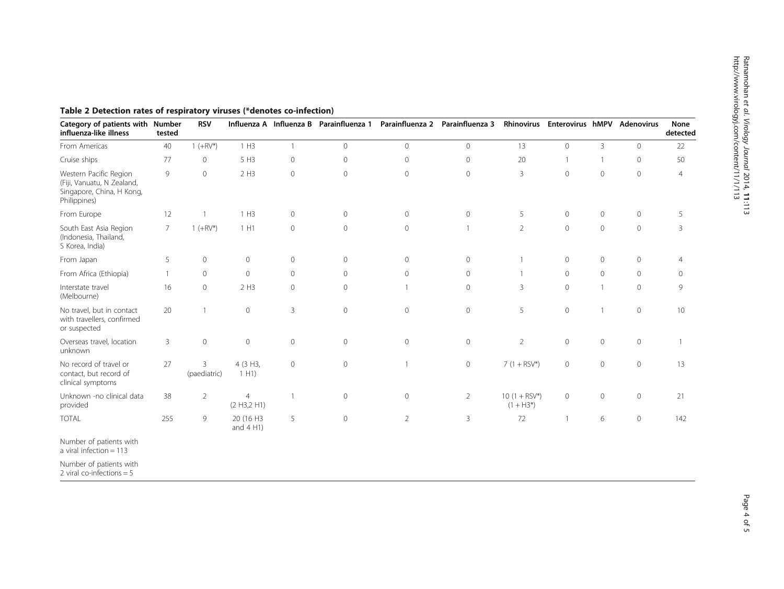| Category of patients with Number<br>influenza-like illness                                        | tested         | <b>RSV</b>        |                               | Influenza A Influenza B | Parainfluenza 1 | Parainfluenza 2 | Parainfluenza 3 | <b>Rhinovirus</b>                     | <b>Enterovirus hMPV</b> |                | <b>Adenovirus</b> | None<br>detected |
|---------------------------------------------------------------------------------------------------|----------------|-------------------|-------------------------------|-------------------------|-----------------|-----------------|-----------------|---------------------------------------|-------------------------|----------------|-------------------|------------------|
| From Americas                                                                                     | 40             | $1 (+RV^*)$       | 1 H3                          | $\mathbf{1}$            | $\mathbf 0$     | $\mathbf 0$     | $\circ$         | 13                                    | $\circ$                 | $\overline{3}$ | $\circ$           | 22               |
| Cruise ships                                                                                      | 77             | $\circ$           | 5 H3                          | $\circ$                 | $\circ$         | $\mathbf{0}$    | $\circ$         | 20                                    | $\mathbf{1}$            | $\mathbf{1}$   | $\circ$           | 50               |
| Western Pacific Region<br>(Fiji, Vanuatu, N Zealand,<br>Singapore, China, H Kong,<br>Philippines) | $\overline{9}$ | $\mathbf{0}$      | 2H3                           | $\circ$                 | $\mathbf{0}$    | $\mathbf{0}$    | $\circ$         | $\overline{3}$                        | $\overline{0}$          | $\mathbb O$    | $\circ$           | $\overline{4}$   |
| From Europe                                                                                       | 12             |                   | 1 H3                          | $\circ$                 | $\mathbf 0$     | $\circ$         | $\circ$         | 5                                     | $\circ$                 | $\mathbb O$    | $\circ$           | 5                |
| South East Asia Region<br>(Indonesia, Thailand,<br>S Korea, India)                                | $\overline{7}$ | $1 (+RV^*)$       | 1 H1                          | $\circ$                 | $\mathbf{0}$    | $\mathbf{0}$    | $\overline{1}$  | $\overline{2}$                        | $\overline{0}$          | $\mathbf 0$    | $\circ$           | 3                |
| From Japan                                                                                        | 5              | $\circ$           | $\circ$                       | $\circ$                 | $\mathbf{0}$    | $\mathbf{0}$    | $\circ$         | $\overline{1}$                        | $\circ$                 | $\circ$        | 0                 | $\overline{4}$   |
| From Africa (Ethiopia)                                                                            |                | $\mathbf{O}$      | $\mathbf{0}$                  | $\mathbf{0}$            | $\mathbf{0}$    | $\mathbf{0}$    | $\overline{0}$  | $\mathbf{1}$                          | $\overline{0}$          | $\overline{0}$ | $\circ$           | $\mathbf{0}$     |
| Interstate travel<br>(Melbourne)                                                                  | 16             | $\circ$           | 2H3                           | $\mathbf{0}$            | $\mathbf{0}$    |                 | $\circ$         | 3                                     | $\circ$                 | $\overline{1}$ | $\mathbf{0}$      | 9                |
| No travel, but in contact<br>with travellers, confirmed<br>or suspected                           | 20             |                   | $\mathsf{O}\xspace$           | $\mathbf{3}$            | $\mathbf 0$     | $\mathbb O$     | $\circ$         | 5                                     | $\circ$                 |                | $\circ$           | 10 <sup>°</sup>  |
| Overseas travel, location<br>unknown                                                              | $\mathbf{3}$   | $\mathbb O$       | $\mathbf 0$                   | $\circ$                 | $\mathbf{0}$    | $\mathbf{0}$    | $\mathbf{0}$    | $\overline{2}$                        | $\overline{0}$          | $\mathbb O$    | $\circ$           | $\overline{1}$   |
| No record of travel or<br>contact, but record of<br>clinical symptoms                             | 27             | 3<br>(paediatric) | 4 (3 H3,<br>1 H1              | $\mathbf{0}$            | $\mathbf{0}$    |                 | $\circ$         | $7(1 + RSV^*)$                        | $\circ$                 | $\circ$        | $\circ$           | 13               |
| Unknown -no clinical data<br>provided                                                             | 38             | $\overline{2}$    | $\overline{4}$<br>(2 H3,2 H1) |                         | $\circ$         | $\mathbf 0$     | $\overline{2}$  | $10(1 + \text{RSV*})$<br>$(1 + H3^*)$ | $\circ$                 | $\mathbf 0$    | $\circ$           | 21               |
| <b>TOTAL</b>                                                                                      | 255            | 9                 | 20 (16 H3<br>and $4$ H1)      | 5                       | $\circ$         | $\overline{2}$  | 3               | 72                                    | $\overline{1}$          | 6              | $\circ$           | 142              |
| Number of patients with<br>a viral infection = $113$                                              |                |                   |                               |                         |                 |                 |                 |                                       |                         |                |                   |                  |
| Number of patients with<br>2 viral co-infections $= 5$                                            |                |                   |                               |                         |                 |                 |                 |                                       |                         |                |                   |                  |

## <span id="page-3-0"></span>Table 2 Detection rates of respiratory viruses (\*denotes co-infection)